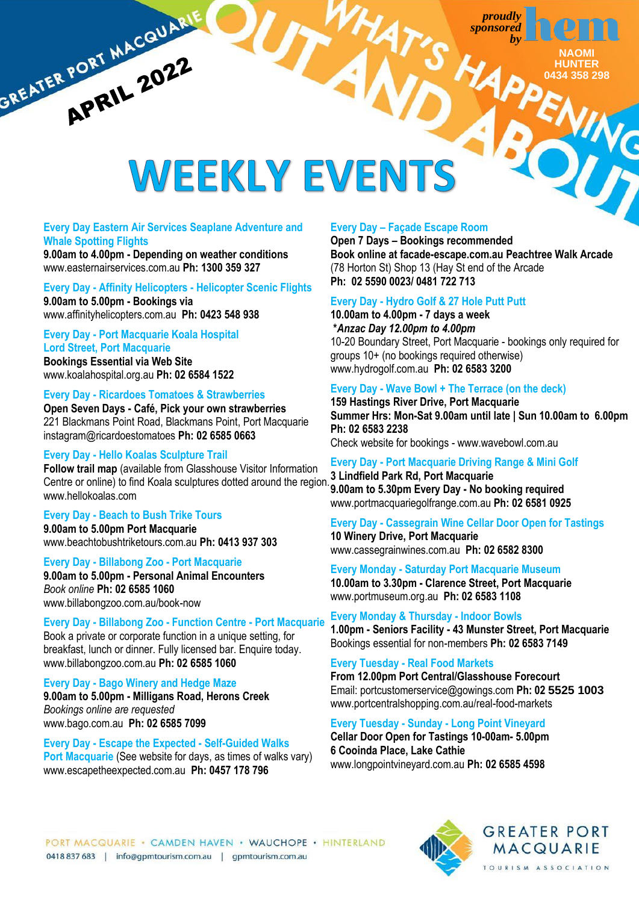HA



**YING** 

# GREATER PORT MACQUARIE WEEKLY EVENTS

## **Every Day Eastern Air Services Seaplane Adventure and Whale Spotting Flights**

**9.00am to 4.00pm - Depending on weather conditions**  [www.easternairservices.com.au](http://www.easternairservices.com.au/) **Ph: 1300 359 327**

## **Every Day - Affinity Helicopters - Helicopter Scenic Flights**

**9.00am to 5.00pm - Bookings via** [www.affinityhelicopters.com.au](http://www.affinityhelicopters.com.au/) **Ph: 0423 548 938**

## **Every Day - Port Macquarie Koala Hospital Lord Street, Port Macquarie**

**Bookings Essential via Web Site** [www.koalahospital.org.au](http://www.koalahospital.org.au/) **Ph: 02 6584 1522**

## **Every Day - Ricardoes Tomatoes & Strawberries**

**Open Seven Days - Café, Pick your own strawberries** 221 Blackmans Point Road, Blackmans Point, Port Macquarie [instagram@](http://www.ricardoes.com/)ricardoestomatoes **Ph: 02 6585 0663** 

## **Every Day - Hello Koalas Sculpture Trail**

**Follow trail map** (available from Glasshouse Visitor Information Centre or online) to find Koala sculptures dotted around the region. [www.hellokoalas.com](http://www.hellokoalas.com/)

## **Every Day - Beach to Bush Trike Tours**

**9.00am to 5.00pm Port Macquarie** [www.beachtobushtriketours.com.au](http://www.beachtobushtriketours.com.au/) **Ph: 0413 937 303**

## **Every Day - Billabong Zoo - Port Macquarie**

**9.00am to 5.00pm - Personal Animal Encounters**  *Book online* **Ph: 02 6585 1060** [www.billabongzoo.com.au/book-now](http://www.billabongzoo.com.au/book-now)

## **Every Day - Billabong Zoo - Function Centre - Port Macquarie**

Book a private or corporate function in a unique setting, for breakfast, lunch or dinner. Fully licensed bar. Enquire today. www.billabongzoo.com.au **Ph: 02 6585 1060**

## **Every Day - Bago Winery and Hedge Maze**

**9.00am to 5.00pm - Milligans Road, Herons Creek** *Bookings online are requested* [www.bago.com.au](http://www.bago.com.au/) **Ph: 02 6585 7099**

## **Every Day - Escape the Expected - Self-Guided Walks Port Macquarie** (See website for days, as times of walks vary) [www.escapetheexpected.com.au](http://www.escapetheexpected.com.au/) **Ph: 0457 178 796**

## **Every Day – Façade Escape Room**

**Open 7 Days – Bookings recommended Book online a[t facade-escape.com.au](https://facade-escape.com.au/) Peachtree Walk Arcade** (78 Horton St) Shop 13 (Hay St end of the Arcade **Ph: [02 5590 0023/](tel:02%205590%200023) [0481 722 713](tel:0481%20722%20713)**

## **Every Day - Hydro Golf & 27 Hole Putt Putt**

**10.00am to 4.00pm - 7 days a week \****Anzac Day 12.00pm to 4.00pm* 10-20 Boundary Street, Port Macquarie - bookings only required for groups 10+ (no bookings required otherwise) [www.hydrogolf.com.au](http://www.hydrogolf.com.au/) **Ph: 02 6583 3200**

## **Every Day - Wave Bowl + The Terrace (on the deck)**

**159 Hastings River Drive, Port Macquarie Summer Hrs: Mon-Sat 9.00am until late | Sun 10.00am to 6.00pm Ph: 02 6583 2238**  Check website for bookings - [www.wavebowl.com.au](http://www.wavebowl.com.au/)

## **Every Day - Port Macquarie Driving Range & Mini Golf**

**3 Lindfield Park Rd, Port Macquarie 9.00am to 5.30pm Every Day - No booking required** [www.portmacquariegolfrange.com.au](http://www.portmacquariegolfrange.com.au/) **Ph: 02 6581 0925**

## **Every Day - Cassegrain Wine Cellar Door Open for Tastings 10 Winery Drive, Port Macquarie** [www.cassegrainwines.com.au](http://www.cassegrainwines.com.au/) **Ph: 02 6582 8300**

## **Every Monday - Saturday Port Macquarie Museum**

**10.00am to 3.30pm - Clarence Street, Port Macquarie** [www.portmuseum.org.au](http://www.portmuseum.org.au/) **Ph: 02 6583 1108**

**Every Monday & Thursday - Indoor Bowls 1.00pm - Seniors Facility - 43 Munster Street, Port Macquarie**  Bookings essential for non-members **Ph: 02 6583 7149**

## **Every Tuesday - [Real Food Markets](https://www.facebook.com/RealFoodMarkets2015PortMacquarie/)**

**From 12.00pm Port Central/Glasshouse Forecourt** Email: [portcustomerservice@gowings.com](mailto:portcustomerservice@gowings.com) **Ph: 02 5525 1003** [www.portcentralshopping.com.au/real-food-markets](http://www.portcentralshopping.com.au/real-food-markets)

## **Every Tuesday - Sunday - Long Point Vineyard**

**Cellar Door Open for Tastings 10-00am- 5.00pm 6 Cooinda Place, Lake Cathie** [www.longpointvineyard.com.au](http://www.longpointvineyard.com.au/) **Ph: 02 6585 4598**

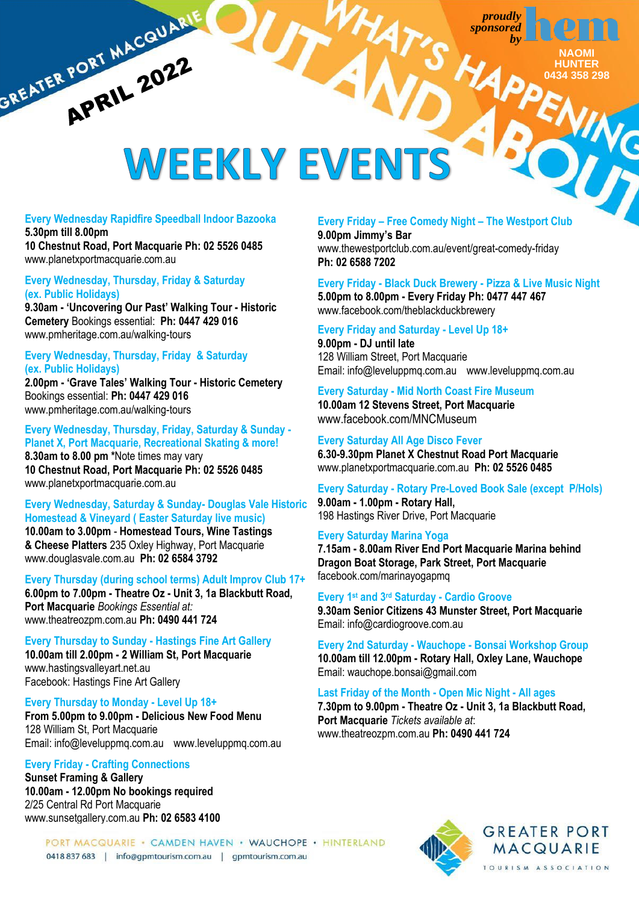HA

**NAOMI HUNTER 1231** 

## GREATER PORT MACQUARIE WEEKLY EVEN

### **Every Wednesday Rapidfire Speedball Indoor Bazooka 5.30pm till 8.00pm**

**10 Chestnut Road, Port Macquarie Ph: 02 5526 0485** [www.planetxportmacquarie.com.au](http://www.planetxportmacquarie.com.au/)

## **Every Wednesday, Thursday, Friday & Saturday (ex. Public Holidays)**

**9.30am - 'Uncovering Our Past' Walking Tour - Historic Cemetery** Bookings essential: **Ph: 0447 429 016** [www.pmheritage.com.au/walking-tours](http://www.pmheritage.com.au/walking-tours)

## **Every Wednesday, Thursday, Friday & Saturday (ex. Public Holidays)**

**2.00pm - 'Grave Tales' Walking Tour - Historic Cemetery**  Bookings essential: **Ph: 0447 429 016** [www.pmheritage.com.au/walking-tours](http://www.pmheritage.com.au/walking-tours)

## **Every Wednesday, Thursday, Friday, Saturday & Sunday - Planet X, Port Macquarie, Recreational Skating & more! 8.30am to 8.00 pm \***Note times may vary

**10 Chestnut Road, Port Macquarie Ph: 02 5526 0485** [www.planetxportmacquarie.com.au](http://www.planetxportmacquarie.com.au/)

## **Every Wednesday, Saturday & Sunday- Douglas Vale Historic Homestead & Vineyard ( Easter Saturday live music)**

**10.00am to 3.00pm** - **Homestead Tours, Wine Tastings & Cheese Platters** 235 Oxley Highway, Port Macquarie [www.douglasvale.com.au](http://www.douglasvale.com.au/) **Ph: 02 6584 3792**

## **Every Thursday (during school terms) Adult Improv Club 17+**

**6.00pm to 7.00pm - Theatre Oz - Unit 3, 1a Blackbutt Road, Port Macquarie** *Bookings Essential at:* [www.theatreozpm.com.au](http://www.theatreozpm.com.au/) **Ph: 0490 441 724**

## **Every Thursday to Sunday - Hastings Fine Art Gallery**

**10.00am till 2.00pm - 2 William St, Port Macquarie** [www.hastingsvalleyart.net.au](http://www.hastingsvalleyart.net.au/) Facebook: Hastings Fine Art Gallery

## **Every Thursday to Monday - Level Up 18+**

**From 5.00pm to 9.00pm - Delicious New Food Menu** 128 William St, Port Macquarie Email: info@leveluppmq.com.au [www.leveluppmq.com.au](http://www.leveluppmq.com.au/)

## **Every Friday - Crafting Connections**

**Sunset Framing & Gallery 10.00am - 12.00pm No bookings required** 2/25 Central Rd Port Macquarie www.sunsetgallery.com.au **Ph: 02 6583 4100**

## **Every Friday – Free Comedy Night – The Westport Club**

**9.00pm Jimmy's Bar**  [www.thewestportclub.com.au/event/great-comedy-friday](http://www.thewestportclub.com.au/event/great-comedy-friday) **Ph: 02 6588 7202**

## **Every Friday - Black Duck Brewery - Pizza & Live Music Night**

**5.00pm to 8.00pm - Every Friday Ph: 0477 447 467** [www.facebook.com/theblackduckbrewery](http://www.facebook.com/theblackduckbrewery)

## **Every Friday and Saturday - Level Up 18+**

**9.00pm - DJ until late** 128 William Street, Port Macquarie Email: info@leveluppmq.com.au [www.leveluppmq.com.au](http://www.leveluppmq.com.au/)

## **Every Saturday - Mid North Coast Fire Museum 10.00am 12 Stevens Street, Port Macquarie**

[www.facebook.com/MNCMuseum](http://www.facebook.com/MNCMuseum)

## **Every Saturday All Age Disco Fever 6.30-9.30pm Planet X Chestnut Road Port Macquarie** [www.planetxportmacquarie.com.au](http://www.planetxportmacquarie.com.au/) **Ph: 02 5526 0485**

**Every Saturday - Rotary Pre-Loved Book Sale (except P/Hols) 9.00am - 1.00pm - Rotary Hall,** 198 Hastings River Drive, Port Macquarie

## **Every Saturday Marina Yoga**

**7.15am - 8.00am River End Port Macquarie Marina behind Dragon Boat Storage, Park Street, Port Macquarie** [facebook.com/marinayogapmq](https://m.facebook.com/marinayogapmq/)

## **Every 1st and 3 rd Saturday - Cardio Groove**

**9.30am Senior Citizens 43 Munster Street, Port Macquarie** Email: info@cardiogroove.com.au

**Every 2nd Saturday - Wauchope - Bonsai Workshop Group 10.00am till 12.00pm - Rotary Hall, Oxley Lane, Wauchope** Email[: wauchope.bonsai@gmail.com](mailto:wauchope.bonsai@gmail.com)

## **Last Friday of the Month - Open Mic Night - All ages**

**7.30pm to 9.00pm - Theatre Oz - Unit 3, 1a Blackbutt Road, Port Macquarie** *Tickets available at*: [www.theatreozpm.com.au](http://www.theatreozpm.com.au/) **Ph: 0490 441 724**

PORT MACQUARIE · CAMDEN HAVEN · WAUCHOPE · HINTERLAND 0418 837 683 | info@gpmtourism.com.au | gpmtourism.com.au

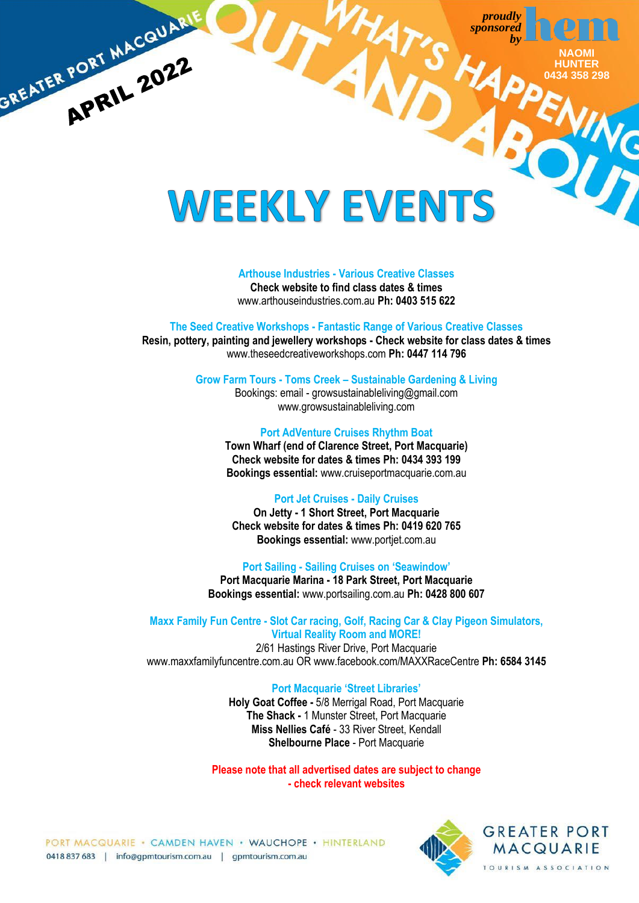> **NAOMI HUNTER 0434 358 298**

## WEEKLY EVENTS

GREATER PORT MACQUARI

## **Arthouse Industries - Various Creative Classes**

**Check website to find class dates & times** www.arthouseindustries.com.au **Ph: 0403 515 622**

## **The Seed Creative Workshops - Fantastic Range of Various Creative Classes**

**Resin, pottery, painting and jewellery workshops - Check website for class dates & times** [www.theseedcreativeworkshops.com](http://www.theseedcreativeworkshops.com/) **Ph: 0447 114 796**

**Grow Farm Tours - Toms Creek – Sustainable Gardening & Living**

Bookings: email - [growsustainableliving@gmail.com](mailto:growsustainableliving@gmail.com) [www.growsustainableliving.com](http://www.growsustainableliving.com/)

## **Port AdVenture Cruises Rhythm Boat**

**Town Wharf (end of Clarence Street, Port Macquarie) Check website for dates & times Ph: 0434 393 199 Bookings essential:** [www.cruiseportmacquarie.com.au](http://www.cruiseportmacquarie.com.au/)

## **Port Jet Cruises - Daily Cruises**

**On Jetty - 1 Short Street, Port Macquarie Check website for dates & times Ph: 0419 620 765 Bookings essential:** [www.portjet.com.au](http://www.portjet.com.au/)

## **Port Sailing - Sailing Cruises on 'Seawindow'**

**Port Macquarie Marina - 18 Park Street, Port Macquarie Bookings essential:** [www.portsailing.com.au](http://www.portsailing.com.au/) **Ph: 0428 800 607**

### **Maxx Family Fun Centre - Slot Car racing, Golf, Racing Car & Clay Pigeon Simulators, Virtual Reality Room and MORE!**

2/61 Hastings River Drive, Port Macquarie [www.maxxfamilyfuncentre.com.au](http://www.maxxfamilyfuncentre.com.au/) OR www.facebook.com/MAXXRaceCentre **Ph: 6584 3145**

### **Port Macquarie 'Street Libraries'**

**Holy Goat Coffee -** 5/8 Merrigal Road, Port Macquarie **The Shack -** 1 Munster Street, Port Macquarie **Miss Nellies Café** - 33 River Street, Kendall **Shelbourne Place** - Port Macquarie

**Please note that all advertised dates are subject to change - check relevant websites**

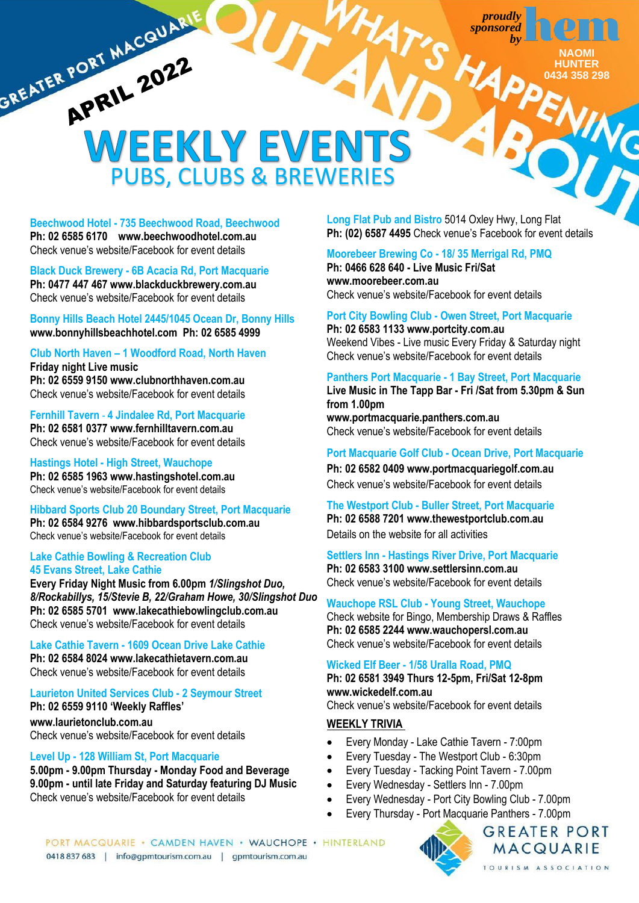> **NAOMI HUNTER 0434 358 298**

## GREATER PORT MACQUARIE WEEKLY EVENTS PUBS, CLUBS & BREWERIES

**Beechwood Hotel - 735 Beechwood Road, Beechwood Ph: 02 6585 6170 www.beechwoodhotel.com.au** Check venue's website/Facebook for event details

## **Black Duck Brewery - 6B Acacia Rd, Port Macquarie**

**Ph: 0477 447 467 www.blackduckbrewery.com.au** Check venue's website/Facebook for event details

**Bonny Hills Beach Hotel 2445/1045 Ocean Dr, Bonny Hills [www.bonnyhillsbeachhotel.com](http://www.bonnyhillsbeachhotel.com/) Ph: 02 6585 4999**

**Club North Haven – 1 Woodford Road, North Haven Friday night Live music Ph: 02 6559 915[0 www.clubnorthhaven.com.au](http://www.clubnorthhaven.com.au/)** Check venue's website/Facebook for event details

**Fernhill Tavern** - **4 Jindalee Rd, Port Macquarie Ph: 0[2 6581 0377](https://www.google.com/search?gs_ssp=eJzj4tZP1zcsyUoqTipKNmC0UjaoMEsyNzMwNzY2sEi2MDE1MrQyqDBKsbA0NTU3tbA0NjYy9pJLSy3Ky8jMyVEoSSwDMhUK8otKFHITkwtLE4syUwG7oxjx&q=fernhill+tavern+port+macquarie&oq=fer&aqs=chrome.1.69i57j46i67i175i199j0i67j46i67i175i199l2j0i67j46i67i175i199j0i271.3393j0j15&sourceid=chrome&ie=UTF-8) www.fernhilltavern.com.au** Check venue's website/Facebook for event details

**Hastings Hotel - High Street, Wauchope Ph: 02 6585 1963 www.hastingshotel.com.au** Check venue's website/Facebook for event details

**Hibbard Sports Club 20 Boundary Street, Port Macquarie Ph: 02 6584 9276 [www.hibbardsportsclub.com.au](http://www.hibbardsportsclub.com.au/)** Check venue's website/Facebook for event details

## **Lake Cathie Bowling & Recreation Club 45 Evans Street, Lake Cathie**

**Every Friday Night Music from 6.00pm** *1/Slingshot Duo, 8/Rockabillys, 15/Stevie B, 22/Graham Howe, 30/Slingshot Duo* **Ph: 02 6585 5701 [www.lakecathiebowlingclub.com.au](http://www.lakecathiebowlingclub.com.au/)** Check venue's website/Facebook for event details

**Lake Cathie Tavern - 1609 Ocean Drive Lake Cathie Ph: 02 6584 802[4 www.lakecathietavern.com.au](http://www.lakecathietavern.com.au/)** Check venue's website/Facebook for event details

**Laurieton United Services Club - 2 Seymour Street Ph: 02 6559 9110 'Weekly Raffles'**

**[www.laurietonclub.com.au](http://www.laurietonclub.com.au/)** Check venue's website/Facebook for event details

## **Level Up - 128 William St, Port Macquarie**

**5.00pm - 9.00pm Thursday - Monday Food and Beverage 9.00pm - until late Friday and Saturday featuring DJ Music** Check venue's website/Facebook for event details

**Long Flat Pub and Bistro** 5014 Oxley Hwy, Long Flat **Ph: (02) 6587 4495** Check venue's Facebook for event details

## **Moorebeer Brewing Co - 18/ 35 Merrigal Rd, PMQ**

**Ph: 0466 628 640 - Live Music Fri/Sat [www.moorebeer.com.au](http://www.moorebeer.com.au/)** Check venue's website/Facebook for event details

**Port City Bowling Club - Owen Street, Port Macquarie**

**Ph: 02 6583 1133 [www.portcity.com.au](http://www.portcity.com.au/)** Weekend Vibes - Live music Every Friday & Saturday night Check venue's website/Facebook for event details

## **Panthers Port Macquarie - 1 Bay Street, Port Macquarie**

**Live Music in The Tapp Bar - Fri /Sat from 5.30pm & Sun from 1.00pm**

**www.portmacquarie.panthers.com.au**  Check venue's website/Facebook for event details

## **Port Macquarie Golf Club - Ocean Drive, Port Macquarie**

**Ph: 02 6582 0409 www.portmacquariegolf.com.au** Check venue's website/Facebook for event details

**The Westport Club - Buller Street, Port Macquarie Ph: 02 6588 7201 [www.thewestportclub.com.au](http://www.thewestportclub.com.au/)** Details on the website for all activities

**Settlers Inn - Hastings River Drive, Port Macquarie**

**Ph: 02 6583 3100 www.settlersinn.com.au** Check venue's website/Facebook for event details

## **Wauchope RSL Club - Young Street, Wauchope**

Check website for Bingo, Membership Draws & Raffles **Ph: 02 6585 2244 [www.wauchopersl.com.au](http://www.wauchopersl.com.au/)** Check venue's website/Facebook for event details

## **Wicked Elf Beer - 1/58 Uralla Road, PMQ**

**Ph: 02 6581 3949 Thurs 12-5pm, Fri/Sat 12-8pm [www.wickedelf.com.au](http://www.wickedelf.com.au/)**

Check venue's website/Facebook for event details

## **WEEKLY TRIVIA**

- Every Monday Lake Cathie Tavern 7:00pm
- Every Tuesday The Westport Club 6:30pm
- Every Tuesday Tacking Point Tavern 7.00pm
- Every Wednesday Settlers Inn 7.00pm
- Every Wednesday Port City Bowling Club 7.00pm
- Every Thursday Port Macquarie Panthers 7.00pm

PORT MACQUARIE · CAMDEN HAVEN · WAUCHOPE · HINTERLAND 0418 837 683 | info@gpmtourism.com.au | gpmtourism.com.au



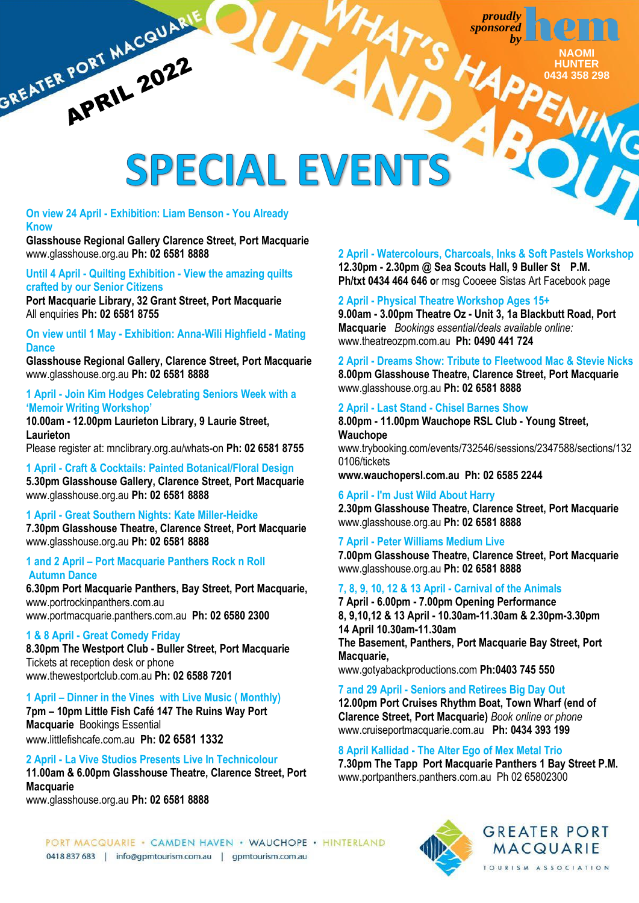

## SPECIAL EVENTS

## **On view 24 April - Exhibition: Liam Benson - You Already Know**

GREATER PORT MACQUARIE

**Glasshouse Regional Gallery Clarence Street, Port Macquarie** [www.glasshouse.org.au](http://www.glasshouse.org.au/) **Ph: 02 6581 8888**

**Until 4 April - Quilting Exhibition - View the amazing quilts crafted by our Senior Citizens**

**Port Macquarie Library, 32 Grant Street, Port Macquarie** All enquiries **Ph: 02 6581 8755**

**On view until 1 May - Exhibition: Anna-Wili Highfield - Mating Dance**

**Glasshouse Regional Gallery, Clarence Street, Port Macquarie** [www.glasshouse.org.au](http://www.glasshouse.org.au/) **Ph: 02 6581 8888**

## **1 April - Join Kim Hodges Celebrating Seniors Week with a 'Memoir Writing Workshop'**

**10.00am - 12.00pm Laurieton Library, 9 Laurie Street, Laurieton**

Please register at: mnclibrary.org.au/whats-on **Ph: 02 6581 8755**

**1 April - Craft & Cocktails: Painted Botanical/Floral Design 5.30pm Glasshouse Gallery, Clarence Street, Port Macquarie** [www.glasshouse.org.au](http://www.glasshouse.org.au/) **Ph: 02 6581 8888**

## **1 April - Great Southern Nights: Kate Miller-Heidke 7.30pm Glasshouse Theatre, Clarence Street, Port Macquarie** [www.glasshouse.org.au](http://www.glasshouse.org.au/) **Ph: 02 6581 8888**

## **1 and 2 April – Port Macquarie Panthers Rock n Roll Autumn Dance**

**6.30pm Port Macquarie Panthers, Bay Street, Port Macquarie,**  www.portrockinpanthers.com.au [www.portmacquarie.panthers.com.au](http://www.portmacquarie.panthers.com.au/) **Ph: 02 6580 2300**

## **1 & 8 April - Great Comedy Friday**

**8.30pm The Westport Club - Buller Street, Port Macquarie** Tickets at reception desk or phone [www.thewestportclub.com.au](http://www.thewestportclub.com.au/) **Ph: 02 6588 7201**

## **1 April – Dinner in the Vines with Live Music ( Monthly)**

**7pm – 10pm Little Fish Café 147 The Ruins Way Port Macquarie** Bookings Essential [www.littlefishcafe.com.au](http://www.littlefishcafe.com.au/) **Ph: [02 6581 1332](tel:0265811332)**

## **2 April - La Vive Studios Presents Live In Technicolour**

**11.00am & 6.00pm Glasshouse Theatre, Clarence Street, Port Macquarie**

[www.glasshouse.org.au](http://www.glasshouse.org.au/) **Ph: 02 6581 8888**

## **2 April - Watercolours, Charcoals, Inks & Soft Pastels Workshop 12.30pm - 2.30pm @ Sea Scouts Hall, 9 Buller St P.M. Ph/txt 0434 464 646 o**r msg Cooeee Sistas Art Facebook page

## **2 April - Physical Theatre Workshop Ages 15+**

**9.00am - 3.00pm Theatre Oz - Unit 3, 1a Blackbutt Road, Port Macquarie** *Bookings essential/deals available online:* [www.theatreozpm.com.au](http://www.theatreozpm.com.au/) **Ph: 0490 441 724**

**2 April - Dreams Show: Tribute to Fleetwood Mac & Stevie Nicks 8.00pm Glasshouse Theatre, Clarence Street, Port Macquarie** [www.glasshouse.org.au](http://www.glasshouse.org.au/) **Ph: 02 6581 8888**

## **2 April - Last Stand - Chisel Barnes Show**

**8.00pm - 11.00pm Wauchope RSL Club - Young Street, Wauchope**  [www.trybooking.com/events/732546/sessions/2347588/sections/132](http://www.trybooking.com/events/732546/sessions/2347588/sections/1320106/tickets) [0106/tickets](http://www.trybooking.com/events/732546/sessions/2347588/sections/1320106/tickets) **[www.wauchopersl.com.au](http://www.wauchopersl.com.au/) Ph: 02 6585 2244** 

## **6 April - I'm Just Wild About Harry**

**2.30pm Glasshouse Theatre, Clarence Street, Port Macquarie** [www.glasshouse.org.au](http://www.glasshouse.org.au/) **Ph: 02 6581 8888**

**7 April - Peter Williams Medium Live 7.00pm Glasshouse Theatre, Clarence Street, Port Macquarie** [www.glasshouse.org.au](http://www.glasshouse.org.au/) **Ph: 02 6581 8888**

## **7, 8, 9, 10, 12 & 13 April - Carnival of the Animals**

**7 April - 6.00pm - 7.00pm Opening Performance 8, 9,10,12 & 13 April - 10.30am-11.30am & 2.30pm-3.30pm 14 April 10.30am-11.30am The Basement, Panthers, Port Macquarie Bay Street, Port Macquarie,** [www.gotyabackproductions.com](http://www.gotyabackproductions.com/) **Ph:0403 745 550**

**7 and 29 April - Seniors and Retirees Big Day Out 12.00pm Port Cruises Rhythm Boat, Town Wharf (end of Clarence Street, Port Macquarie)** *Book online or phone* [www.cruiseportmacquarie.com.au](http://www.cruiseportmacquarie.com.au/) **Ph: 0434 393 199**

## **8 April Kallidad - The Alter Ego of Mex Metal Trio**

**7.30pm The Tapp Port Macquarie Panthers 1 Bay Street P.M.** [www.portpanthers.panthers.com.au](http://www.portpanthers.panthers.com.au/) Ph 02 65802300

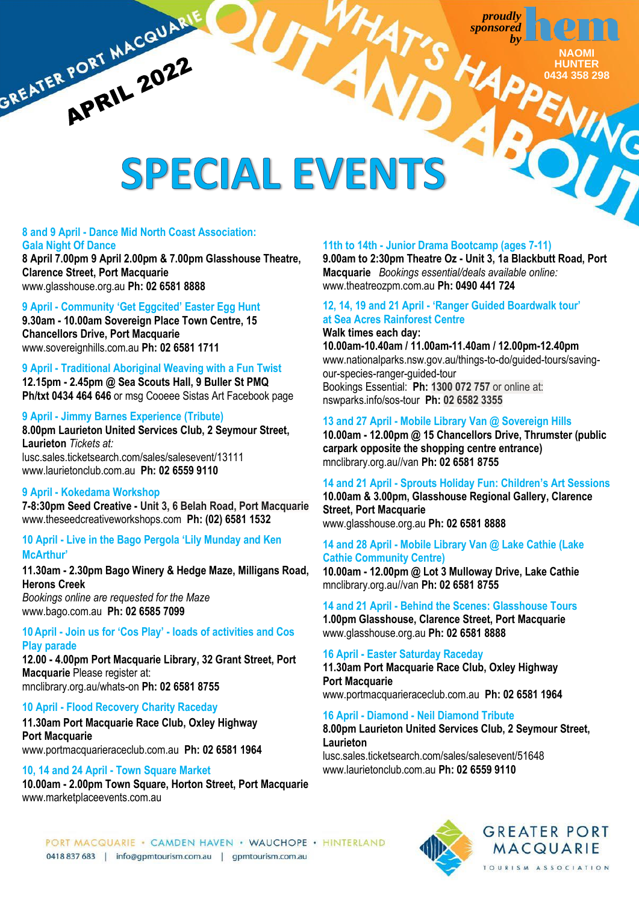HA



**YING** 

# GREATER PORT MACQUARIE SPECIAL EVENTS

## **8 and 9 April - Dance Mid North Coast Association: Gala Night Of Dance**

**8 April 7.00pm 9 April 2.00pm & 7.00pm Glasshouse Theatre, Clarence Street, Port Macquarie** [www.glasshouse.org.au](http://www.glasshouse.org.au/) **Ph: 02 6581 8888**

## **9 April - Community 'Get Eggcited' Easter Egg Hunt**

**9.30am - 10.00am Sovereign Place Town Centre, 15 Chancellors Drive, Port Macquarie** [www.sovereignhills.com.au](http://www.sovereignhills.com.au/) **Ph: 02 6581 1711**

## **9 April - Traditional Aboriginal Weaving with a Fun Twist**

**12.15pm - 2.45pm @ Sea Scouts Hall, 9 Buller St PMQ Ph/txt 0434 464 646** or msg Cooeee Sistas Art Facebook page

## **9 April - Jimmy Barnes Experience (Tribute)**

**8.00pm Laurieton United Services Club, 2 Seymour Street, Laurieton** *Tickets at:* [lusc.sales.ticketsearch.com/sales/salesevent/13111](https://lusc.sales.ticketsearch.com/sales/salesevent/13111) [www.laurietonclub.com.au](http://www.laurietonclub.com.au/) **Ph: 02 6559 9110**

## **9 April - Kokedama Workshop**

**7-8:30pm Seed Creative - Unit 3, 6 Belah Road, Port Macquarie**  [www.theseedcreativeworkshops.com](http://www.theseedcreativeworkshops.com/) **Ph: [\(02\) 6581 1532](https://www.google.com/search?gs_ssp=eJzj4tVP1zc0zDBOKzIpLIs3YLRSNagwS7JMSUsztkwxMkpOTjEytTKosDRLskhMM0kyMzG0tDBLNvISL05NTVFILkpNLMksS1Uozy_KLs7ILygGAJ8iGM4&q=seed+creative+workshops&rlz=1C1FKPE_en-GB&oq=Seed++Crative+&aqs=chrome.1.69i57j46i13i175i199j0i13l7.6733j0j7&sourceid=chrome&ie=UTF-8)**

## **10 April - Live in the Bago Pergola 'Lily Munday and Ken McArthur'**

**11.30am - 2.30pm Bago Winery & Hedge Maze, Milligans Road, Herons Creek**

*Bookings online are requested for the Maze* [www.bago.com.au](http://www.bago.com.au/) **Ph: 02 6585 7099**

## **10April - Join us for 'Cos Play' - loads of activities and Cos Play parade**

**12.00 - 4.00pm Port Macquarie Library, 32 Grant Street, Port Macquarie** Please register at: mnclibrary.org.au/whats-on **Ph: 02 6581 8755**

## **10 April - Flood Recovery Charity Raceday**

**11.30am Port Macquarie Race Club, Oxley Highway Port Macquarie** [www.portmacquarieraceclub.com.au](http://www.portmacquarieraceclub.com.au/) **Ph: 02 6581 1964**

## **10, 14 and 24 April - Town Square Market**

**10.00am - 2.00pm Town Square, Horton Street, Port Macquarie** [www.marketplaceevents.com.au](http://www.marketplaceevents.com.au/)

## **11th to 14th - Junior Drama Bootcamp (ages 7-11)**

**9.00am to 2:30pm Theatre Oz - Unit 3, 1a Blackbutt Road, Port Macquarie** *Bookings essential/deals available online:* [www.theatreozpm.com.au](http://www.theatreozpm.com.au/) **Ph: 0490 441 724**

## **12, 14, 19 and 21 April - 'Ranger Guided Boardwalk tour' at Sea Acres Rainforest Centre Walk times each day:**

**10.00am-10.40am / 11.00am-11.40am / 12.00pm-12.40pm** www.nationalparks.nsw.gov.au/things-to-do/guided-tours/savingour-species-ranger-guided-tour Bookings Essential: **Ph: 1300 072 757** or online at: [nswparks.info/sos-tour](https://nswparks.info/sos-tour) **Ph: 02 6582 3355**

## **13 and 27 April - Mobile Library Van @ Sovereign Hills**

**10.00am - 12.00pm @ 15 Chancellors Drive, Thrumster (public carpark opposite the shopping centre entrance)** mnclibrary.org.au//van **Ph: 02 6581 8755**

**14 and 21 April - Sprouts Holiday Fun: Children's Art Sessions**

**10.00am & 3.00pm, Glasshouse Regional Gallery, Clarence Street, Port Macquarie** [www.glasshouse.org.au](http://www.glasshouse.org.au/) **Ph: 02 6581 8888**

## **14 and 28 April - Mobile Library Van @ Lake Cathie (Lake Cathie Community Centre)**

**10.00am - 12.00pm @ Lot 3 Mulloway Drive, Lake Cathie** mnclibrary.org.au//van **Ph: 02 6581 8755**

## **14 and 21 April - Behind the Scenes: Glasshouse Tours**

**1.00pm Glasshouse, Clarence Street, Port Macquarie** [www.glasshouse.org.au](http://www.glasshouse.org.au/) **Ph: 02 6581 8888**

## **16 April - Easter Saturday Raceday**

**11.30am Port Macquarie Race Club, Oxley Highway Port Macquarie** [www.portmacquarieraceclub.com.au](http://www.portmacquarieraceclub.com.au/) **Ph: 02 6581 1964**

## **16 April - Diamond - Neil Diamond Tribute**

**8.00pm Laurieton United Services Club, 2 Seymour Street, Laurieton**  [lusc.sales.ticketsearch.com/sales/salesevent/51648](https://lusc.sales.ticketsearch.com/sales/salesevent/51648)

[www.laurietonclub.com.au](http://www.laurietonclub.com.au/) **Ph: 02 6559 9110**



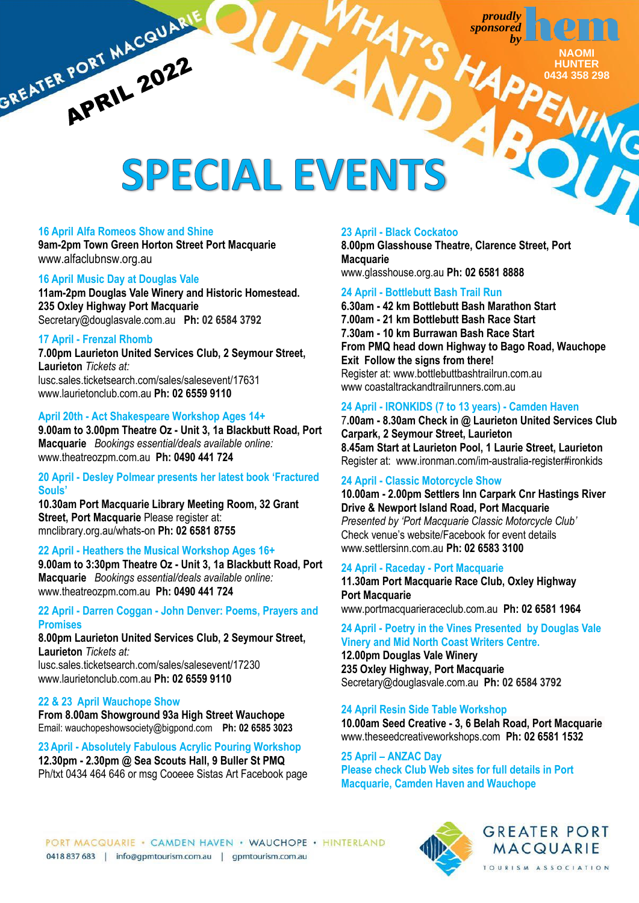

# **SREATER PORT MACQUARI** SPECIAL EVENTS

## **16 April Alfa Romeos Show and Shine**

**9am-2pm Town Green Horton Street Port Macquarie** [www.alfaclubnsw.org.au](http://www.alfaclubnsw.org.au/)

## **16 April Music Day at Douglas Vale**

**11am-2pm Douglas Vale Winery and Historic Homestead. 235 Oxley Highway Port Macquarie** [Secretary@douglasvale.com.au](mailto:Secretary@douglasvale.com.au) **Ph: 02 6584 3792**

## **17 April - Frenzal Rhomb**

**7.00pm Laurieton United Services Club, 2 Seymour Street, Laurieton** *Tickets at:* [lusc.sales.ticketsearch.com/sales/salesevent/17631](https://lusc.sales.ticketsearch.com/sales/salesevent/17631) [www.laurietonclub.com.au](http://www.laurietonclub.com.au/) **Ph: 02 6559 9110**

## **April 20th - Act Shakespeare Workshop Ages 14+**

**9.00am to 3.00pm Theatre Oz - Unit 3, 1a Blackbutt Road, Port Macquarie** *Bookings essential/deals available online:* [www.theatreozpm.com.au](http://www.theatreozpm.com.au/) **Ph: 0490 441 724**

## **20 April - Desley Polmear presents her latest book 'Fractured Souls'**

**10.30am Port Macquarie Library Meeting Room, 32 Grant Street, Port Macquarie** Please register at: mnclibrary.org.au/whats-on **Ph: 02 6581 8755**

## **22 April - Heathers the Musical Workshop Ages 16+**

**9.00am to 3:30pm Theatre Oz - Unit 3, 1a Blackbutt Road, Port Macquarie** *Bookings essential/deals available online:* [www.theatreozpm.com.au](http://www.theatreozpm.com.au/) **Ph: 0490 441 724**

**22 April - Darren Coggan - John Denver: Poems, Prayers and Promises**

**8.00pm Laurieton United Services Club, 2 Seymour Street, Laurieton** *Tickets at:* [lusc.sales.ticketsearch.com/sales/salesevent/17230](https://lusc.sales.ticketsearch.com/sales/salesevent/17230)

[www.laurietonclub.com.au](http://www.laurietonclub.com.au/) **Ph: 02 6559 9110**

## **22 & 23 April Wauchope Show**

**From 8.00am Showground 93a High Street Wauchope** Email: [wauchopeshowsociety@bigpond.com](mailto:wauchopeshowsociety@bigpond.com) **Ph: 02 6585 3023**

**23April - Absolutely Fabulous Acrylic Pouring Workshop 12.30pm - 2.30pm @ Sea Scouts Hall, 9 Buller St PMQ**  Ph/txt 0434 464 646 or msg Cooeee Sistas Art Facebook page

## **23 April - Black Cockatoo**

**8.00pm Glasshouse Theatre, Clarence Street, Port Macquarie**

[www.glasshouse.org.au](http://www.glasshouse.org.au/) **Ph: 02 6581 8888**

## **24 April - Bottlebutt Bash Trail Run**

**6.30am - 42 km Bottlebutt Bash Marathon Start 7.00am - 21 km Bottlebutt Bash Race Start 7.30am - 10 km Burrawan Bash Race Start From PMQ head down Highway to Bago Road, Wauchope Exit Follow the signs from there!** Register at: [www.bottlebuttbashtrailrun.com.au](http://www.bottlebuttbashtrailrun.com.au/) www coastaltrackandtrailrunners.com.au

## **24 April - IRONKIDS (7 to 13 years) - Camden Haven**

7**.00am - 8.30am Check in @ Laurieton United Services Club Carpark, 2 Seymour Street, Laurieton 8.45am Start at Laurieton Pool, 1 Laurie Street, Laurieton** Register at: www.ironman.com/im-australia-register#ironkids

## **24 April - Classic Motorcycle Show**

**10.00am - 2.00pm Settlers Inn Carpark Cnr Hastings River Drive & Newport Island Road, Port Macquarie**

*Presented by 'Port Macquarie Classic Motorcycle Club'* Check venue's website/Facebook for event details www.settlersinn.com.au **Ph: 02 6583 3100**

## **24 April - Raceday - Port Macquarie**

**11.30am Port Macquarie Race Club, Oxley Highway Port Macquarie** [www.portmacquarieraceclub.com.au](http://www.portmacquarieraceclub.com.au/) **Ph: 02 6581 1964**

## **24 April - Poetry in the Vines Presented by Douglas Vale Vinery and Mid North Coast Writers Centre.**

**12.00pm Douglas Vale Winery 235 Oxley Highway, Port Macquarie** [Secretary@douglasvale.com.au](mailto:Secretary@douglasvale.com.au) **Ph: 02 6584 3792**

**24 April Resin Side Table Workshop** 

**10.00am Seed Creative - 3, 6 Belah Road, Port Macquarie**  [www.theseedcreativeworkshops.com](http://www.theseedcreativeworkshops.com/) **Ph[: 02 6581 1532](https://www.google.com/search?gs_ssp=eJzj4tVP1zc0zDBOKzIpLIs3YLRSNagwS7JMSUsztkwxMkpOTjEytTKosDRLskhMM0kyMzG0tDBLNvISL05NTVFILkpNLMksS1Uozy_KLs7ILygGAJ8iGM4&q=seed+creative+workshops&rlz=1C1FKPE_en-GB&oq=Seed++Crative+&aqs=chrome.1.69i57j46i13i175i199j0i13l7.6733j0j7&sourceid=chrome&ie=UTF-8)**

**25 April – ANZAC Day** 

**Please check Club Web sites for full details in Port Macquarie, Camden Haven and Wauchope**

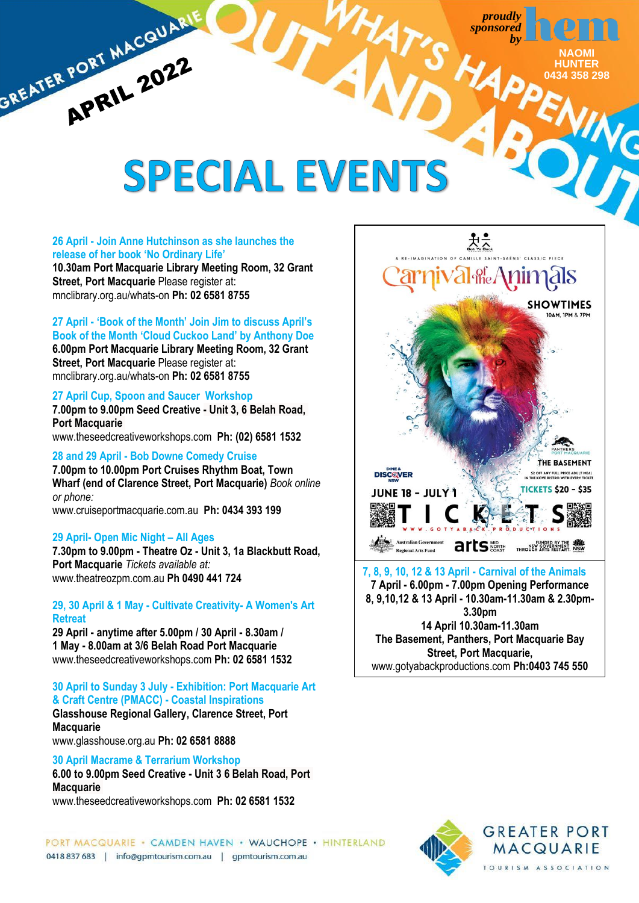> **NAOMI HUNTER 0434 358 298**

# GREATER PORT MACQUARIE **SPECIAL EVENTS**

## **26 April - Join Anne Hutchinson as she launches the release of her book 'No Ordinary Life'**

**10.30am Port Macquarie Library Meeting Room, 32 Grant Street, Port Macquarie** Please register at: mnclibrary.org.au/whats-on **Ph: 02 6581 8755**

## **27 April - 'Book of the Month' Join Jim to discuss April's**

**Book of the Month 'Cloud Cuckoo Land' by Anthony Doe 6.00pm Port Macquarie Library Meeting Room, 32 Grant Street, Port Macquarie** Please register at: mnclibrary.org.au/whats-on **Ph: 02 6581 8755**

## **27 April Cup, Spoon and Saucer Workshop**

**7.00pm to 9.00pm Seed Creative - Unit 3, 6 Belah Road, Port Macquarie**  [www.theseedcreativeworkshops.com](http://www.theseedcreativeworkshops.com/) **Ph[: \(02\) 6581 1532](https://www.google.com/search?gs_ssp=eJzj4tVP1zc0zDBOKzIpLIs3YLRSNagwS7JMSUsztkwxMkpOTjEytTKosDRLskhMM0kyMzG0tDBLNvISL05NTVFILkpNLMksS1Uozy_KLs7ILygGAJ8iGM4&q=seed+creative+workshops&rlz=1C1FKPE_en-GB&oq=Seed++Crative+&aqs=chrome.1.69i57j46i13i175i199j0i13l7.6733j0j7&sourceid=chrome&ie=UTF-8)**

## **28 and 29 April - Bob Downe Comedy Cruise**

**7.00pm to 10.00pm Port Cruises Rhythm Boat, Town Wharf (end of Clarence Street, Port Macquarie)** *Book online or phone:*

[www.cruiseportmacquarie.com.au](http://www.cruiseportmacquarie.com.au/)**Ph: 0434 393 199**

## **29 April- Open Mic Night – All Ages**

**7.30pm to 9.00pm - Theatre Oz - Unit 3, 1a Blackbutt Road, Port Macquarie** *Tickets available at:* [www.theatreozpm.com.au](http://www.theatreozpm.com.au/) **Ph 0490 441 724**

## **29, 30 April & 1 May - Cultivate Creativity- A Women's Art Retreat**

**29 April - anytime after 5.00pm / 30 April - 8.30am / 1 May - 8.00am at 3/6 Belah Road Port Macquarie** [www.theseedcreativeworkshops.com](http://www.theseedcreativeworkshops.com/) **Ph: 02 6581 1532**

## **30 April to Sunday 3 July - Exhibition: Port Macquarie Art & Craft Centre (PMACC) - Coastal Inspirations**

**Glasshouse Regional Gallery, Clarence Street, Port Macquarie**

[www.glasshouse.org.au](http://www.glasshouse.org.au/) **Ph: 02 6581 8888**

## **30 April Macrame & Terrarium Workshop**

**6.00 to 9.00pm Seed Creative - Unit 3 6 Belah Road, Port Macquarie** 

[www.theseedcreativeworkshops.com](http://www.theseedcreativeworkshops.com/) **Ph[: 02 6581 1532](https://www.google.com/search?gs_ssp=eJzj4tVP1zc0zDBOKzIpLIs3YLRSNagwS7JMSUsztkwxMkpOTjEytTKosDRLskhMM0kyMzG0tDBLNvISL05NTVFILkpNLMksS1Uozy_KLs7ILygGAJ8iGM4&q=seed+creative+workshops&rlz=1C1FKPE_en-GB&oq=Seed++Crative+&aqs=chrome.1.69i57j46i13i175i199j0i13l7.6733j0j7&sourceid=chrome&ie=UTF-8)**

**BORT MACQUARIE · CAMDEN HAVEN · WAUCHOPE · HINTERLAND MACQUARIE** 0418 837 683 | info@gpmtourism.com.au | gpmtourism.com.au



**7 April - 6.00pm - 7.00pm Opening Performance 8, 9,10,12 & 13 April - 10.30am-11.30am & 2.30pm-3.30pm 14 April 10.30am-11.30am The Basement, Panthers, Port Macquarie Bay Street, Port Macquarie,** [www.gotyabackproductions.com](http://www.gotyabackproductions.com/) **Ph:0403 745 550**

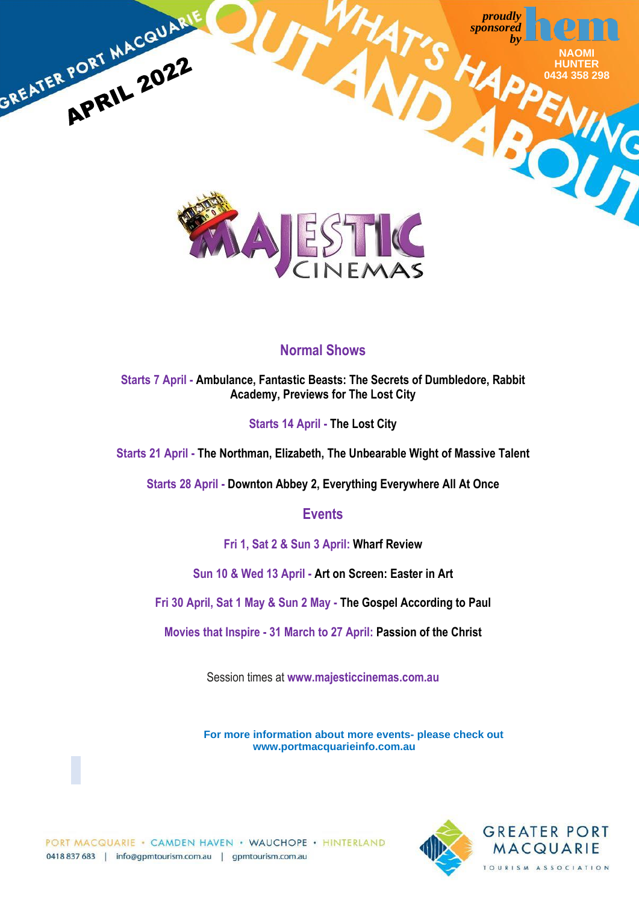

## **Normal Shows**

**Starts 7 April - Ambulance, Fantastic Beasts: The Secrets of Dumbledore, Rabbit Academy, Previews for The Lost City**

## **Starts 14 April - The Lost City**

**Starts 21 April - The Northman, Elizabeth, The Unbearable Wight of Massive Talent**

**Starts 28 April - Downton Abbey 2, Everything Everywhere All At Once**

## **Events**

**Fri 1, Sat 2 & Sun 3 April: Wharf Review**

**Sun 10 & Wed 13 April - Art on Screen: Easter in Art**

**Fri 30 April, Sat 1 May & Sun 2 May - The Gospel According to Paul**

**Movies that Inspire - 31 March to 27 April: Passion of the Christ**

Session times at **[www.majesticcinemas.com.au](http://www.majesticcinemas.com.au/)**

**For more information about more events- please check out www.portmacquarieinfo.com.au**

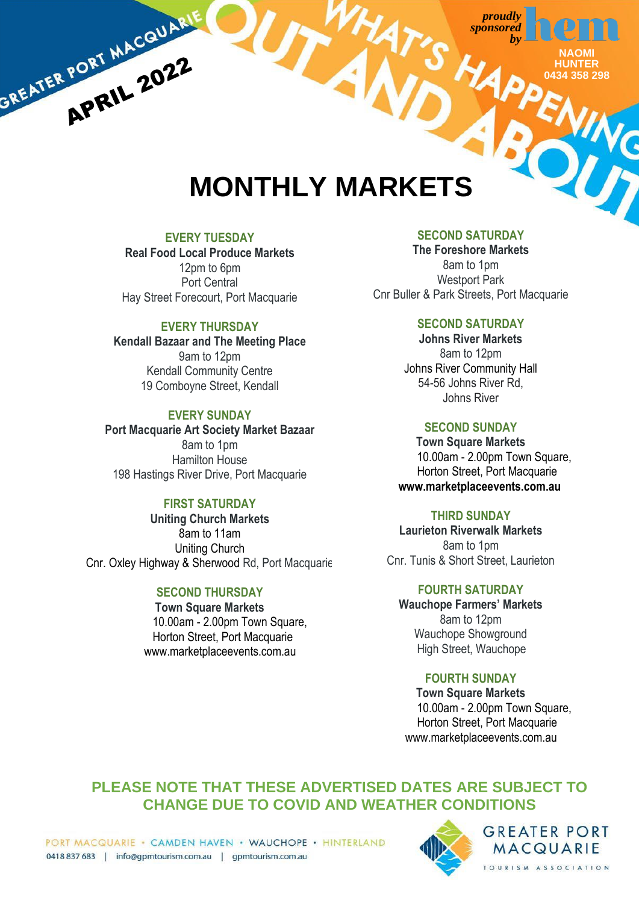> **NAOMI HUNTER 0434 358 298**

## **MONTHLY MARKETS**

## **EVERY TUESDAY**

GREATER PORT MACQUARIE

**Real Food Local Produce Markets** 12pm to 6pm Port Central Hay Street Forecourt, Port Macquarie

## **EVERY THURSDAY**

**Kendall Bazaar and The Meeting Place** 9am to 12pm Kendall Community Centre 19 Comboyne Street, Kendall

## **EVERY SUNDAY**

**Port Macquarie Art Society Market Bazaar** 8am to 1pm Hamilton House 198 Hastings River Drive, Port Macquarie

## **FIRST SATURDAY**

**Uniting Church Markets** 8am to 11am Uniting Church Cnr. Oxley Highway & Sherwood Rd, Port Macquarie

## **SECOND THURSDAY**

**Town Square Markets** 10.00am - 2.00pm Town Square, Horton Street, Port Macquarie [www.marketplacee](http://www.marketplace/)vents.com.au

## **SECOND SATURDAY**

**The Foreshore Markets** 8am to 1pm Westport Park Cnr Buller & Park Streets, Port Macquarie

## **SECOND SATURDAY**

**Johns River Markets** 8am to 12pm Johns River Community Hall 54-56 Johns River Rd, Johns River

## **SECOND SUNDAY**

**Town Square Markets** 10.00am - 2.00pm Town Square, Horton Street, Port Macquarie  **[www.marketplacee](http://www.marketplace/)vents.com.au**

## **THIRD SUNDAY**

**Laurieton Riverwalk Markets** 8am to 1pm Cnr. Tunis & Short Street, Laurieton

**FOURTH SATURDAY**

**Wauchope Farmers' Markets** 8am to 12pm Wauchope Showground High Street, Wauchope

## **FOURTH SUNDAY**

**Town Square Markets** 10.00am - 2.00pm Town Square, Horton Street, Port Macquarie [www.marketplacee](http://www.marketplace/)vents.com.au

## **PLEASE NOTE THAT THESE ADVERTISED DATES ARE SUBJECT TO CHANGE DUE TO COVID AND WEATHER CONDITIONS**



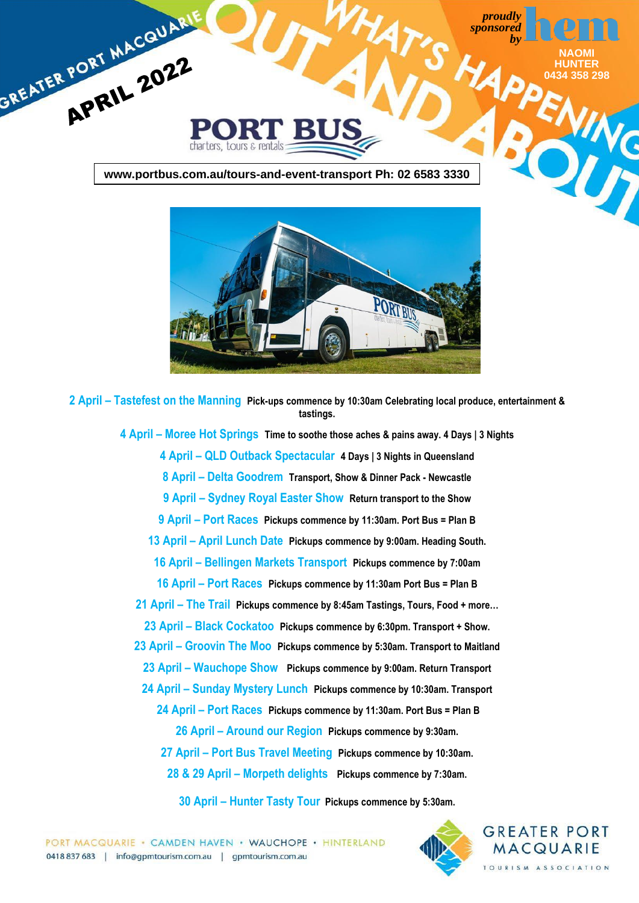



 **April – Tastefest on the Manning Pick-ups commence by 10:30am Celebrating local produce, entertainment & tastings.**

> **April – Moree Hot Springs Time to soothe those aches & pains away. 4 Days | 3 Nights April – QLD Outback Spectacular 4 Days | 3 Nights in Queensland April – Delta Goodrem Transport, Show & Dinner Pack - Newcastle April – Sydney Royal Easter Show Return transport to the Show April – Port Races Pickups commence by 11:30am. Port Bus = Plan B April – April Lunch Date Pickups commence by 9:00am. Heading South. April – Bellingen Markets Transport Pickups commence by 7:00am April – Port Races Pickups commence by 11:30am Port Bus = Plan B April – The Trail Pickups commence by 8:45am Tastings, Tours, Food + more… April – Black Cockatoo Pickups commence by 6:30pm. Transport + Show. April – Groovin The Moo Pickups commence by 5:30am. Transport to Maitland April – Wauchope Show Pickups commence by 9:00am. Return Transport April – Sunday Mystery Lunch Pickups commence by 10:30am. Transport April – Port Races Pickups commence by 11:30am. Port Bus = Plan B April – Around our Region Pickups commence by 9:30am. April – Port Bus Travel Meeting Pickups commence by 10:30am. & 29 April – Morpeth delights Pickups commence by 7:30am.**

> > **April – Hunter Tasty Tour Pickups commence by 5:30am.**